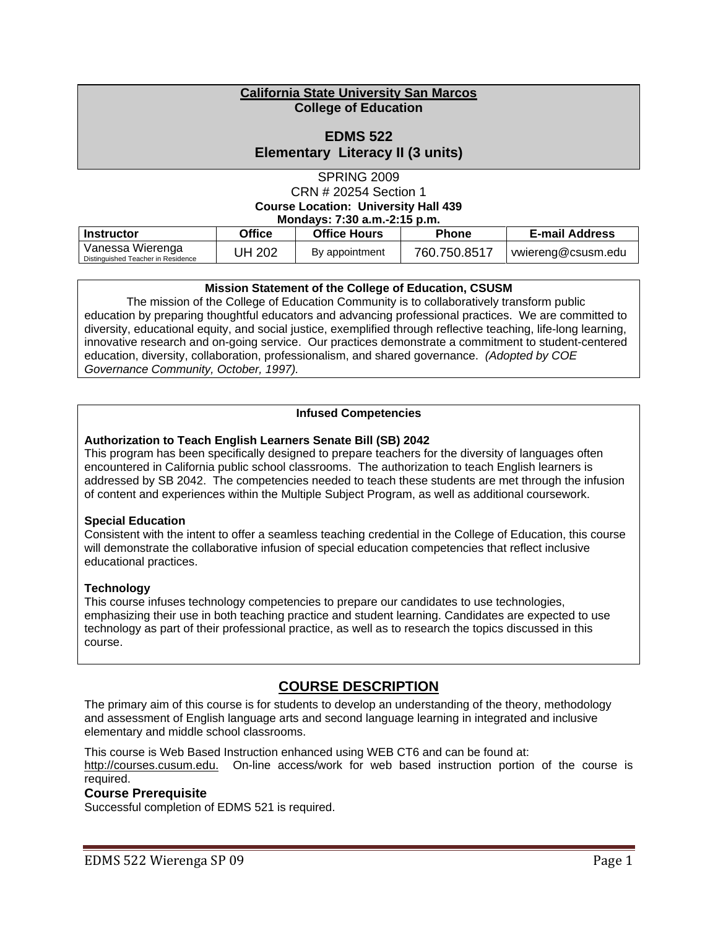### **California State University San Marcos College of Education**

# **EDMS 522 Elementary Literacy II (3 units)**

SPRING 2009 CRN # 20254 Section 1 **Course Location: University Hall 439 Mondays: 7:30 a.m.-2:15 p.m.** 

| MONQUES: 1:30 d.M.-2:15 p.M.                           |               |                     |              |                       |
|--------------------------------------------------------|---------------|---------------------|--------------|-----------------------|
| Instructor                                             | <b>Office</b> | <b>Office Hours</b> | <b>Phone</b> | <b>E-mail Address</b> |
| Vanessa Wierenga<br>Distinguished Teacher in Residence | JH 202        | By appointment      | 760.750.8517 | vwiereng@csusm.edu    |

### **Mission Statement of the College of Education, CSUSM**

The mission of the College of Education Community is to collaboratively transform public education by preparing thoughtful educators and advancing professional practices. We are committed to diversity, educational equity, and social justice, exemplified through reflective teaching, life-long learning, innovative research and on-going service. Our practices demonstrate a commitment to student-centered education, diversity, collaboration, professionalism, and shared governance. *(Adopted by COE Governance Community, October, 1997).* 

### **Infused Competencies**

### **Authorization to Teach English Learners Senate Bill (SB) 2042**

This program has been specifically designed to prepare teachers for the diversity of languages often encountered in California public school classrooms. The authorization to teach English learners is addressed by SB 2042. The competencies needed to teach these students are met through the infusion of content and experiences within the Multiple Subject Program, as well as additional coursework.

### **Special Education**

Consistent with the intent to offer a seamless teaching credential in the College of Education, this course will demonstrate the collaborative infusion of special education competencies that reflect inclusive educational practices.

### **Technology**

 course. This course infuses technology competencies to prepare our candidates to use technologies, emphasizing their use in both teaching practice and student learning. Candidates are expected to use technology as part of their professional practice, as well as to research the topics discussed in this

# **COURSE DESCRIPTION**

The primary aim of this course is for students to develop an understanding of the theory, methodology and assessment of English language arts and second language learning in integrated and inclusive elementary and middle school classrooms.

This course is Web Based Instruction enhanced using WEB CT6 and can be found at: http://courses.cusum.edu. On-line access/work for web based instruction portion of the course is required.

### **Course Prerequisite**

Successful completion of EDMS 521 is required.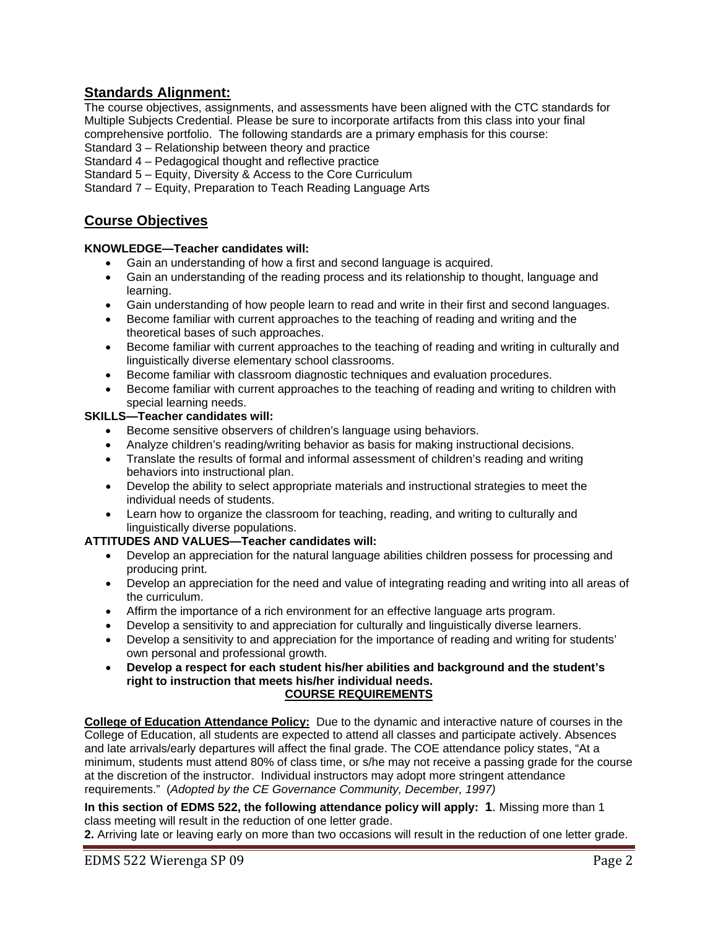# **Standards Alignment:**

The course objectives, assignments, and assessments have been aligned with the CTC standards for Multiple Subjects Credential. Please be sure to incorporate artifacts from this class into your final comprehensive portfolio. The following standards are a primary emphasis for this course:

Standard 3 – Relationship between theory and practice

Standard 4 – Pedagogical thought and reflective practice

Standard 5 – Equity, Diversity & Access to the Core Curriculum

Standard 7 – Equity, Preparation to Teach Reading Language Arts

# **Course Objectives**

### **KNOWLEDGE—Teacher candidates will:**

- Gain an understanding of how a first and second language is acquired.
- Gain an understanding of the reading process and its relationship to thought, language and learning.
- Gain understanding of how people learn to read and write in their first and second languages.
- Become familiar with current approaches to the teaching of reading and writing and the theoretical bases of such approaches.
- Become familiar with current approaches to the teaching of reading and writing in culturally and linguistically diverse elementary school classrooms.
- • Become familiar with classroom diagnostic techniques and evaluation procedures.
- Become familiar with current approaches to the teaching of reading and writing to children with special learning needs.

### **SKILLS—Teacher candidates will:**

- Become sensitive observers of children's language using behaviors.
- Analyze children's reading/writing behavior as basis for making instructional decisions.
- Translate the results of formal and informal assessment of children's reading and writing behaviors into instructional plan.
- Develop the ability to select appropriate materials and instructional strategies to meet the individual needs of students.
- Learn how to organize the classroom for teaching, reading, and writing to culturally and linguistically diverse populations.

### **ATTITUDES AND VALUES—Teacher candidates will:**

- Develop an appreciation for the natural language abilities children possess for processing and producing print.
- Develop an appreciation for the need and value of integrating reading and writing into all areas of the curriculum.
- • Affirm the importance of a rich environment for an effective language arts program.
- Develop a sensitivity to and appreciation for culturally and linguistically diverse learners.
- Develop a sensitivity to and appreciation for the importance of reading and writing for students' own personal and professional growth.
- • **Develop a respect for each student his/her abilities and background and the student's right to instruction that meets his/her individual needs. COURSE REQUIREMENTS**

**College of Education Attendance Policy:** Due to the dynamic and interactive nature of courses in the College of Education, all students are expected to attend all classes and participate actively. Absences and late arrivals/early departures will affect the final grade. The COE attendance policy states, "At a minimum, students must attend 80% of class time, or s/he may not receive a passing grade for the course at the discretion of the instructor. Individual instructors may adopt more stringent attendance requirements." (*Adopted by the CE Governance Community, December, 1997)* 

 **In this section of EDMS 522, the following attendance policy will apply: 1**. Missing more than 1 class meeting will result in the reduction of one letter grade.

**2.** Arriving late or leaving early on more than two occasions will result in the reduction of one letter grade.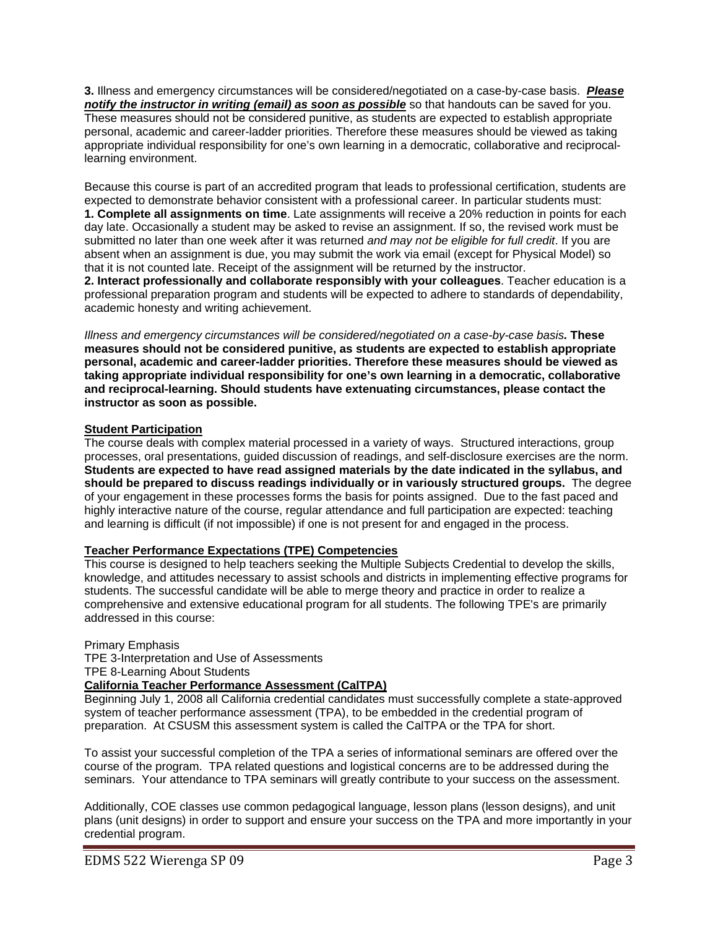**3.** Illness and emergency circumstances will be considered/negotiated on a case-by-case basis. *Please notify the instructor in writing (email) as soon as possible* so that handouts can be saved for you. These measures should not be considered punitive, as students are expected to establish appropriate personal, academic and career-ladder priorities. Therefore these measures should be viewed as taking appropriate individual responsibility for one's own learning in a democratic, collaborative and reciprocallearning environment.

Because this course is part of an accredited program that leads to professional certification, students are expected to demonstrate behavior consistent with a professional career. In particular students must: **1. Complete all assignments on time**. Late assignments will receive a 20% reduction in points for each day late. Occasionally a student may be asked to revise an assignment. If so, the revised work must be submitted no later than one week after it was returned *and may not be eligible for full credit*. If you are absent when an assignment is due, you may submit the work via email (except for Physical Model) so that it is not counted late. Receipt of the assignment will be returned by the instructor.

**2. Interact professionally and collaborate responsibly with your colleagues**. Teacher education is a professional preparation program and students will be expected to adhere to standards of dependability, academic honesty and writing achievement.

*Illness and emergency circumstances will be considered/negotiated on a case-by-case basis.* **These measures should not be considered punitive, as students are expected to establish appropriate personal, academic and career-ladder priorities. Therefore these measures should be viewed as taking appropriate individual responsibility for one's own learning in a democratic, collaborative and reciprocal-learning. Should students have extenuating circumstances, please contact the instructor as soon as possible.** 

### **Student Participation**

 **should be prepared to discuss readings individually or in variously structured groups.** The degree The course deals with complex material processed in a variety of ways. Structured interactions, group processes, oral presentations, guided discussion of readings, and self-disclosure exercises are the norm. **Students are expected to have read assigned materials by the date indicated in the syllabus, and**  of your engagement in these processes forms the basis for points assigned. Due to the fast paced and highly interactive nature of the course, regular attendance and full participation are expected: teaching and learning is difficult (if not impossible) if one is not present for and engaged in the process.

### **Teacher Performance Expectations (TPE) Competencies**

This course is designed to help teachers seeking the Multiple Subjects Credential to develop the skills, knowledge, and attitudes necessary to assist schools and districts in implementing effective programs for students. The successful candidate will be able to merge theory and practice in order to realize a comprehensive and extensive educational program for all students. The following TPE's are primarily addressed in this course:

### Primary Emphasis

TPE 3-Interpretation and Use of Assessments

 TPE 8-Learning About Students

# **California Teacher Performance Assessment (CalTPA)**

Beginning July 1, 2008 all California credential candidates must successfully complete a state-approved system of teacher performance assessment (TPA), to be embedded in the credential program of preparation. At CSUSM this assessment system is called the CalTPA or the TPA for short.

To assist your successful completion of the TPA a series of informational seminars are offered over the course of the program. TPA related questions and logistical concerns are to be addressed during the seminars. Your attendance to TPA seminars will greatly contribute to your success on the assessment.

Additionally, COE classes use common pedagogical language, lesson plans (lesson designs), and unit plans (unit designs) in order to support and ensure your success on the TPA and more importantly in your credential program.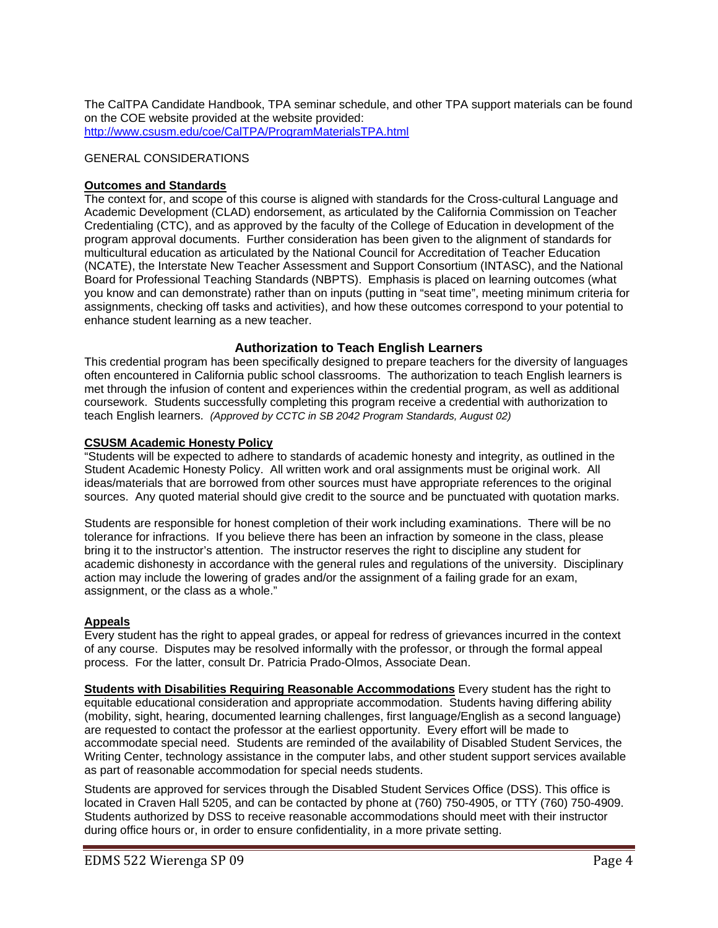The CalTPA Candidate Handbook, TPA seminar schedule, and other TPA support materials can be found on the COE website provided at the website provided: http://www.csusm.edu/coe/CalTPA/ProgramMaterialsTPA.html

### GENERAL CONSIDERATIONS

### **Outcomes and Standards**

The context for, and scope of this course is aligned with standards for the Cross-cultural Language and Academic Development (CLAD) endorsement, as articulated by the California Commission on Teacher Credentialing (CTC), and as approved by the faculty of the College of Education in development of the program approval documents. Further consideration has been given to the alignment of standards for multicultural education as articulated by the National Council for Accreditation of Teacher Education (NCATE), the Interstate New Teacher Assessment and Support Consortium (INTASC), and the National Board for Professional Teaching Standards (NBPTS). Emphasis is placed on learning outcomes (what you know and can demonstrate) rather than on inputs (putting in "seat time", meeting minimum criteria for assignments, checking off tasks and activities), and how these outcomes correspond to your potential to enhance student learning as a new teacher.

### **Authorization to Teach English Learners**

This credential program has been specifically designed to prepare teachers for the diversity of languages often encountered in California public school classrooms. The authorization to teach English learners is met through the infusion of content and experiences within the credential program, as well as additional coursework. Students successfully completing this program receive a credential with authorization to teach English learners. *(Approved by CCTC in SB 2042 Program Standards, August 02)* 

### **CSUSM Academic Honesty Policy**

"Students will be expected to adhere to standards of academic honesty and integrity, as outlined in the Student Academic Honesty Policy. All written work and oral assignments must be original work. All ideas/materials that are borrowed from other sources must have appropriate references to the original sources. Any quoted material should give credit to the source and be punctuated with quotation marks.

Students are responsible for honest completion of their work including examinations. There will be no tolerance for infractions. If you believe there has been an infraction by someone in the class, please bring it to the instructor's attention. The instructor reserves the right to discipline any student for academic dishonesty in accordance with the general rules and regulations of the university. Disciplinary action may include the lowering of grades and/or the assignment of a failing grade for an exam, assignment, or the class as a whole."

### **Appeals**

Every student has the right to appeal grades, or appeal for redress of grievances incurred in the context of any course. Disputes may be resolved informally with the professor, or through the formal appeal process. For the latter, consult Dr. Patricia Prado-Olmos, Associate Dean.

**Students with Disabilities Requiring Reasonable Accommodations** Every student has the right to equitable educational consideration and appropriate accommodation. Students having differing ability (mobility, sight, hearing, documented learning challenges, first language/English as a second language) are requested to contact the professor at the earliest opportunity. Every effort will be made to accommodate special need. Students are reminded of the availability of Disabled Student Services, the Writing Center, technology assistance in the computer labs, and other student support services available as part of reasonable accommodation for special needs students.

Students are approved for services through the Disabled Student Services Office (DSS). This office is located in Craven Hall 5205, and can be contacted by phone at (760) 750-4905, or TTY (760) 750-4909. Students authorized by DSS to receive reasonable accommodations should meet with their instructor during office hours or, in order to ensure confidentiality, in a more private setting.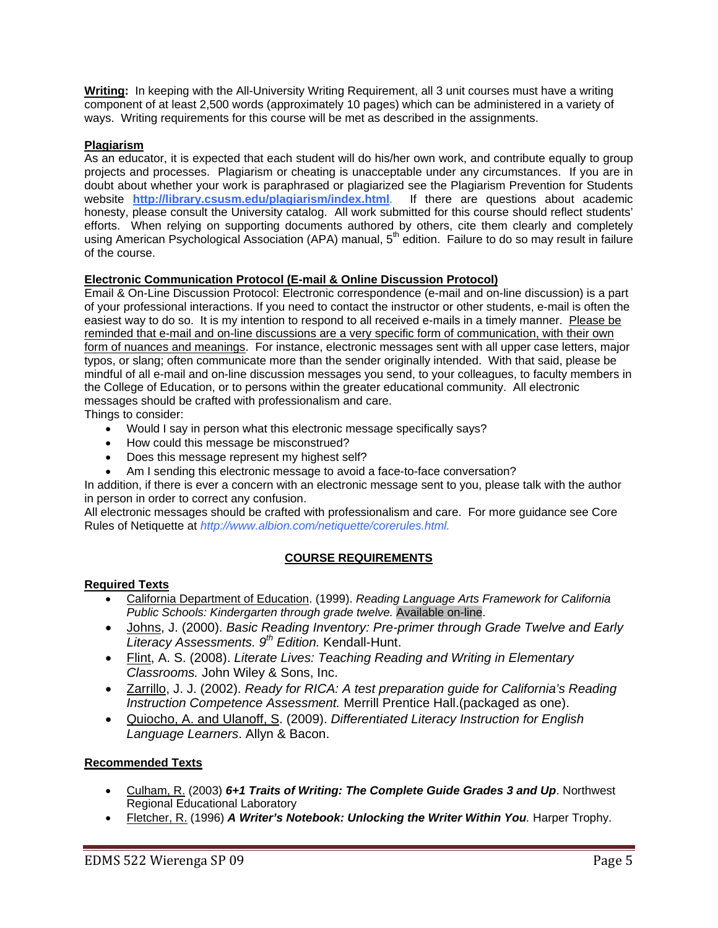**Writing:** In keeping with the All-University Writing Requirement, all 3 unit courses must have a writing component of at least 2,500 words (approximately 10 pages) which can be administered in a variety of ways. Writing requirements for this course will be met as described in the assignments.

### **Plagiarism**

 of the course. As an educator, it is expected that each student will do his/her own work, and contribute equally to group projects and processes. Plagiarism or cheating is unacceptable under any circumstances. If you are in doubt about whether your work is paraphrased or plagiarized see the Plagiarism Prevention for Students website **http://library.csusm.edu/plagiarism/index.html**. If there are questions about academic honesty, please consult the University catalog. All work submitted for this course should reflect students' efforts. When relying on supporting documents authored by others, cite them clearly and completely using American Psychological Association (APA) manual, 5<sup>th</sup> edition. Failure to do so may result in failure

### **Electronic Communication Protocol (E-mail & Online Discussion Protocol)**

Email & On-Line Discussion Protocol: Electronic correspondence (e-mail and on-line discussion) is a part of your professional interactions. If you need to contact the instructor or other students, e-mail is often the easiest way to do so. It is my intention to respond to all received e-mails in a timely manner. Please be reminded that e-mail and on-line discussions are a very specific form of communication, with their own form of nuances and meanings. For instance, electronic messages sent with all upper case letters, major typos, or slang; often communicate more than the sender originally intended. With that said, please be mindful of all e-mail and on-line discussion messages you send, to your colleagues, to faculty members in the College of Education, or to persons within the greater educational community. All electronic messages should be crafted with professionalism and care.

Things to consider:

- Would I say in person what this electronic message specifically says?
- How could this message be misconstrued?
- Does this message represent my highest self?
- Am I sending this electronic message to avoid a face-to-face conversation?

In addition, if there is ever a concern with an electronic message sent to you, please talk with the author in person in order to correct any confusion.

All electronic messages should be crafted with professionalism and care. For more guidance see Core Rules of Netiquette at *http://www.albion.com/netiquette/corerules.html.* 

# **COURSE REQUIREMENTS**

### **Required Texts**

- • California Department of Education. (1999). *Reading Language Arts Framework for California Public Schools: Kindergarten through grade twelve.* Available on-line.
- Johns, J. (2000). *Basic Reading Inventory: Pre-primer through Grade Twelve and Early Literacy Assessments. 9th Edition.* Kendall-Hunt.
- Flint, A. S. (2008). *Literate Lives: Teaching Reading and Writing in Elementary Classrooms.* John Wiley & Sons, Inc.
- Zarrillo, J. J. (2002). *Ready for RICA: A test preparation guide for California's Reading Instruction Competence Assessment.* Merrill Prentice Hall.(packaged as one).
- • Quiocho, A. and Ulanoff, S. (2009). *Differentiated Literacy Instruction for English Language Learners*. Allyn & Bacon.

### **Recommended Texts**

- Culham, R. (2003) *6+1 Traits of Writing: The Complete Guide Grades 3 and Up*. Northwest Regional Educational Laboratory
- Fletcher, R. (1996) A Writer's Notebook: Unlocking the Writer Within You. Harper Trophy.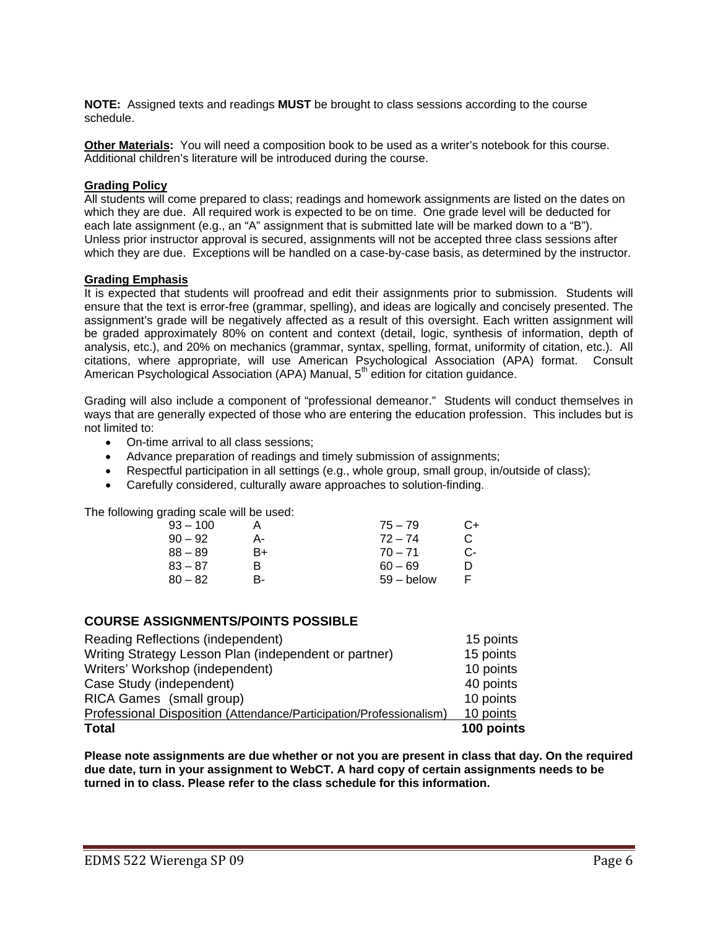**NOTE:** Assigned texts and readings **MUST** be brought to class sessions according to the course schedule.

**Other Materials:** You will need a composition book to be used as a writer's notebook for this course. Additional children's literature will be introduced during the course.

### **Grading Policy**

All students will come prepared to class; readings and homework assignments are listed on the dates on which they are due. All required work is expected to be on time. One grade level will be deducted for each late assignment (e.g., an "A" assignment that is submitted late will be marked down to a "B"). Unless prior instructor approval is secured, assignments will not be accepted three class sessions after which they are due. Exceptions will be handled on a case-by-case basis, as determined by the instructor.

### **Grading Emphasis**

It is expected that students will proofread and edit their assignments prior to submission. Students will ensure that the text is error-free (grammar, spelling), and ideas are logically and concisely presented. The assignment's grade will be negatively affected as a result of this oversight. Each written assignment will be graded approximately 80% on content and context (detail, logic, synthesis of information, depth of analysis, etc.), and 20% on mechanics (grammar, syntax, spelling, format, uniformity of citation, etc.). All citations, where appropriate, will use American Psychological Association (APA) format. Consult American Psychological Association (APA) Manual, 5<sup>th</sup> edition for citation guidance.

Grading will also include a component of "professional demeanor." Students will conduct themselves in ways that are generally expected of those who are entering the education profession. This includes but is not limited to:

- On-time arrival to all class sessions;
- Advance preparation of readings and timely submission of assignments;
- Respectful participation in all settings (e.g., whole group, small group, in/outside of class);
- Carefully considered, culturally aware approaches to solution-finding.

The following grading scale will be used:

| 93 – 100  |    | $75 - 79$    | C+ |
|-----------|----|--------------|----|
| $90 - 92$ | А- | $72 - 74$    | C. |
| 88 – 89   | B+ | $70 - 71$    | C- |
| 83 – 87   | R  | $60 - 69$    | D  |
| $80 - 82$ | в- | $59 -$ below | F  |
|           |    |              |    |

### **COURSE ASSIGNMENTS/POINTS POSSIBLE**

| <b>Total</b>                                                        | 100 points |
|---------------------------------------------------------------------|------------|
| Professional Disposition (Attendance/Participation/Professionalism) | 10 points  |
| RICA Games (small group)                                            | 10 points  |
| Case Study (independent)                                            | 40 points  |
| Writers' Workshop (independent)                                     | 10 points  |
| Writing Strategy Lesson Plan (independent or partner)               | 15 points  |
| Reading Reflections (independent)                                   | 15 points  |

**Please note assignments are due whether or not you are present in class that day. On the required due date, turn in your assignment to WebCT. A hard copy of certain assignments needs to be turned in to class. Please refer to the class schedule for this information.**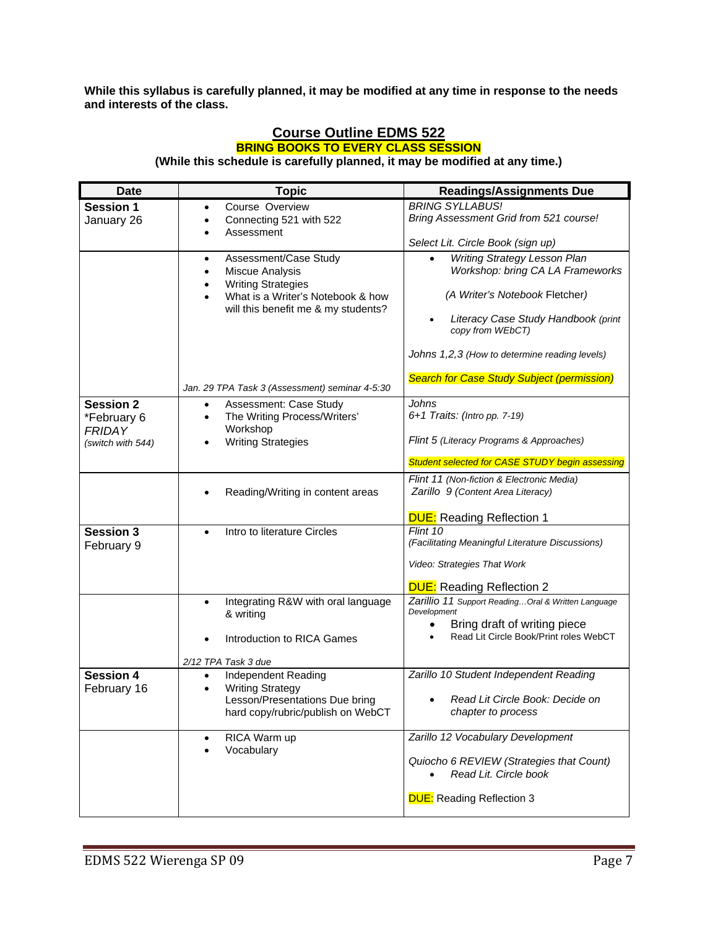**While this syllabus is carefully planned, it may be modified at any time in response to the needs and interests of the class.** 

### **Course Outline EDMS 522 BRING BOOKS TO EVERY CLASS SESSION (While this schedule is carefully planned, it may be modified at any time.)**

| <b>Date</b>                        | <b>Topic</b>                                                                             | <b>Readings/Assignments Due</b>                                   |
|------------------------------------|------------------------------------------------------------------------------------------|-------------------------------------------------------------------|
| <b>Session 1</b>                   | Course Overview                                                                          | <b>BRING SYLLABUS!</b>                                            |
| January 26                         | Connecting 521 with 522                                                                  | Bring Assessment Grid from 521 course!                            |
|                                    | Assessment                                                                               | Select Lit. Circle Book (sign up)                                 |
|                                    | Assessment/Case Study<br>$\bullet$                                                       | Writing Strategy Lesson Plan                                      |
|                                    | Miscue Analysis<br>$\bullet$                                                             | Workshop: bring CA LA Frameworks                                  |
|                                    | <b>Writing Strategies</b><br>$\bullet$<br>What is a Writer's Notebook & how<br>$\bullet$ | (A Writer's Notebook Fletcher)                                    |
|                                    | will this benefit me & my students?                                                      | Literacy Case Study Handbook (print<br>copy from WEbCT)           |
|                                    |                                                                                          | Johns 1,2,3 (How to determine reading levels)                     |
|                                    | Jan. 29 TPA Task 3 (Assessment) seminar 4-5:30                                           | <b>Search for Case Study Subject (permission)</b>                 |
| <b>Session 2</b>                   | Assessment: Case Study<br>$\bullet$                                                      | Johns                                                             |
| *February 6                        | The Writing Process/Writers'<br>$\bullet$<br>Workshop                                    | 6+1 Traits: (Intro pp. 7-19)                                      |
| <b>FRIDAY</b><br>(switch with 544) | <b>Writing Strategies</b>                                                                | Flint 5 (Literacy Programs & Approaches)                          |
|                                    |                                                                                          | Student selected for CASE STUDY begin assessing                   |
|                                    |                                                                                          | Flint 11 (Non-fiction & Electronic Media)                         |
|                                    | Reading/Writing in content areas                                                         | Zarillo 9 (Content Area Literacy)                                 |
|                                    |                                                                                          | <b>DUE:</b> Reading Reflection 1                                  |
| <b>Session 3</b>                   | Intro to literature Circles<br>$\bullet$                                                 | Flint 10                                                          |
| February 9                         |                                                                                          | (Facilitating Meaningful Literature Discussions)                  |
|                                    |                                                                                          | Video: Strategies That Work                                       |
|                                    |                                                                                          | <b>DUE:</b> Reading Reflection 2                                  |
|                                    | Integrating R&W with oral language<br>$\bullet$                                          | Zarillio 11 Support Reading Oral & Written Language               |
|                                    | & writing                                                                                | Development<br>Bring draft of writing piece<br>٠                  |
|                                    | Introduction to RICA Games                                                               | Read Lit Circle Book/Print roles WebCT                            |
|                                    |                                                                                          |                                                                   |
|                                    | 2/12 TPA Task 3 due                                                                      |                                                                   |
| <b>Session 4</b><br>February 16    | Independent Reading<br>$\bullet$<br><b>Writing Strategy</b>                              | Zarillo 10 Student Independent Reading                            |
|                                    | Lesson/Presentations Due bring                                                           | Read Lit Circle Book: Decide on                                   |
|                                    | hard copy/rubric/publish on WebCT                                                        | chapter to process                                                |
|                                    | RICA Warm up                                                                             | Zarillo 12 Vocabulary Development                                 |
|                                    | Vocabulary                                                                               |                                                                   |
|                                    |                                                                                          | Quiocho 6 REVIEW (Strategies that Count)<br>Read Lit. Circle book |
|                                    |                                                                                          | <b>DUE:</b> Reading Reflection 3                                  |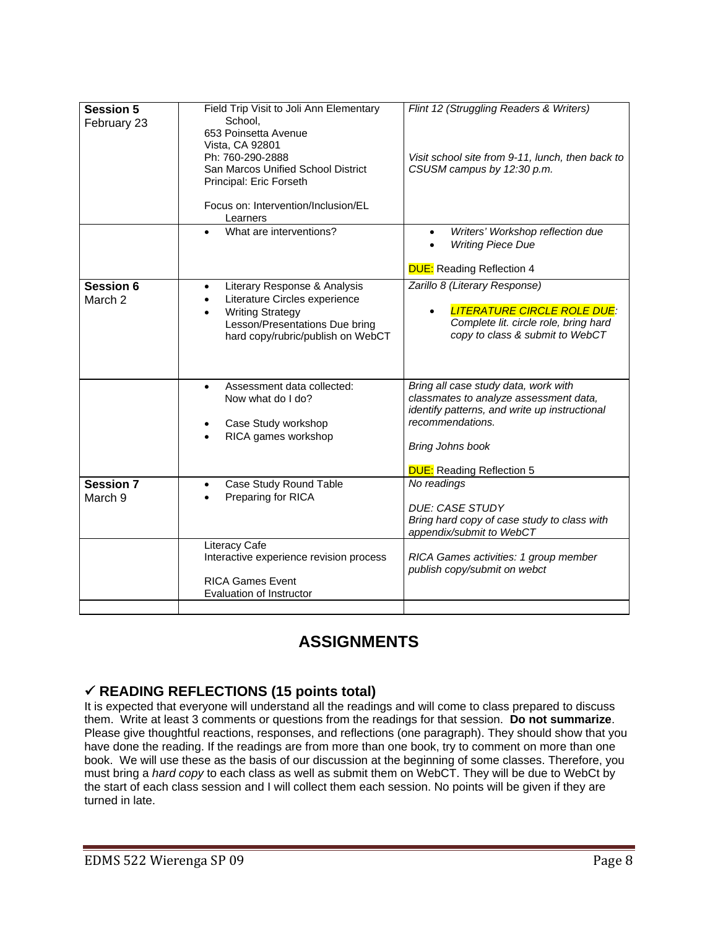| <b>Session 5</b><br>February 23 | Field Trip Visit to Joli Ann Elementary<br>School,<br>653 Poinsetta Avenue<br>Vista, CA 92801<br>Ph: 760-290-2888<br>San Marcos Unified School District<br>Principal: Eric Forseth<br>Focus on: Intervention/Inclusion/EL<br>Learners | Flint 12 (Struggling Readers & Writers)<br>Visit school site from 9-11, lunch, then back to<br>CSUSM campus by 12:30 p.m.                                                                                          |
|---------------------------------|---------------------------------------------------------------------------------------------------------------------------------------------------------------------------------------------------------------------------------------|--------------------------------------------------------------------------------------------------------------------------------------------------------------------------------------------------------------------|
|                                 | What are interventions?<br>$\bullet$                                                                                                                                                                                                  | Writers' Workshop reflection due<br><b>Writing Piece Due</b><br><b>DUE:</b> Reading Reflection 4                                                                                                                   |
| <b>Session 6</b><br>March 2     | Literary Response & Analysis<br>$\bullet$<br>Literature Circles experience<br>$\bullet$<br><b>Writing Strategy</b><br>Lesson/Presentations Due bring<br>hard copy/rubric/publish on WebCT                                             | Zarillo 8 (Literary Response)<br><b>LITERATURE CIRCLE ROLE DUE:</b><br>Complete lit. circle role, bring hard<br>copy to class & submit to WebCT                                                                    |
|                                 | Assessment data collected:<br>$\bullet$<br>Now what do I do?<br>Case Study workshop<br>RICA games workshop                                                                                                                            | Bring all case study data, work with<br>classmates to analyze assessment data,<br>identify patterns, and write up instructional<br>recommendations.<br><b>Bring Johns book</b><br><b>DUE:</b> Reading Reflection 5 |
| Session 7<br>March 9            | Case Study Round Table<br>Preparing for RICA                                                                                                                                                                                          | No readings<br><b>DUE: CASE STUDY</b><br>Bring hard copy of case study to class with<br>appendix/submit to WebCT                                                                                                   |
|                                 | Literacy Cafe<br>Interactive experience revision process<br><b>RICA Games Event</b><br>Evaluation of Instructor                                                                                                                       | RICA Games activities: 1 group member<br>publish copy/submit on webct                                                                                                                                              |

# **ASSIGNMENTS**

# 9 **READING REFLECTIONS (15 points total)**

It is expected that everyone will understand all the readings and will come to class prepared to discuss them. Write at least 3 comments or questions from the readings for that session. **Do not summarize**. Please give thoughtful reactions, responses, and reflections (one paragraph). They should show that you have done the reading. If the readings are from more than one book, try to comment on more than one book. We will use these as the basis of our discussion at the beginning of some classes. Therefore, you must bring a *hard copy* to each class as well as submit them on WebCT. They will be due to WebCt by the start of each class session and I will collect them each session. No points will be given if they are turned in late.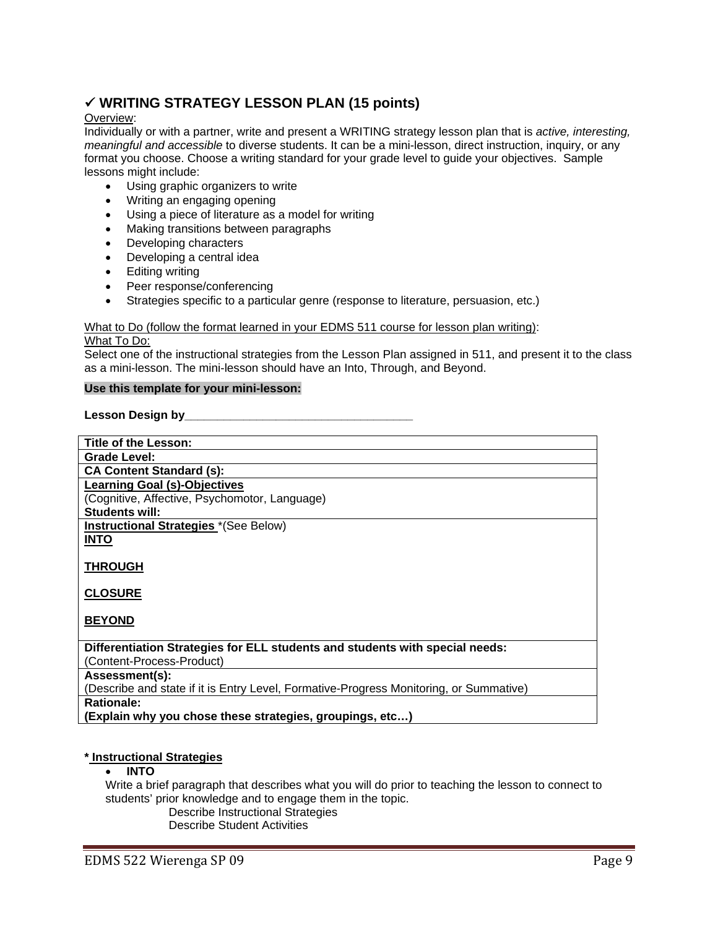# 9 **WRITING STRATEGY LESSON PLAN (15 points)**

### Overview:

Individually or with a partner, write and present a WRITING strategy lesson plan that is *active, interesting, meaningful and accessible* to diverse students. It can be a mini-lesson, direct instruction, inquiry, or any format you choose. Choose a writing standard for your grade level to guide your objectives. Sample lessons might include:

- Using graphic organizers to write
- Writing an engaging opening
- Using a piece of literature as a model for writing
- Making transitions between paragraphs
- Developing characters
- Developing a central idea
- Editing writing
- Peer response/conferencing
- Strategies specific to a particular genre (response to literature, persuasion, etc.)

### What to Do (follow the format learned in your EDMS 511 course for lesson plan writing): What To Do:

Select one of the instructional strategies from the Lesson Plan assigned in 511, and present it to the class as a mini-lesson. The mini-lesson should have an Into, Through, and Beyond.

### **Use this template for your mini-lesson:**

### Lesson Design by

| Title of the Lesson:                                                                   |
|----------------------------------------------------------------------------------------|
| Grade Level:                                                                           |
| <b>CA Content Standard (s):</b>                                                        |
| <b>Learning Goal (s)-Objectives</b>                                                    |
| (Cognitive, Affective, Psychomotor, Language)                                          |
| Students will:                                                                         |
| <b>Instructional Strategies</b> *(See Below)                                           |
| <b>INTO</b>                                                                            |
|                                                                                        |
| <b>THROUGH</b>                                                                         |
|                                                                                        |
| <b>CLOSURE</b>                                                                         |
|                                                                                        |
| <b>BEYOND</b>                                                                          |
|                                                                                        |
| Differentiation Strategies for ELL students and students with special needs:           |
| (Content-Process-Product)                                                              |
| Assessment(s):                                                                         |
| (Describe and state if it is Entry Level, Formative-Progress Monitoring, or Summative) |
| Rationale:                                                                             |
| (Explain why you chose these strategies, groupings, etc)                               |

### **\* Instructional Strategies**

### • **INTO**

Write a brief paragraph that describes what you will do prior to teaching the lesson to connect to students' prior knowledge and to engage them in the topic.

Describe Instructional Strategies

Describe Student Activities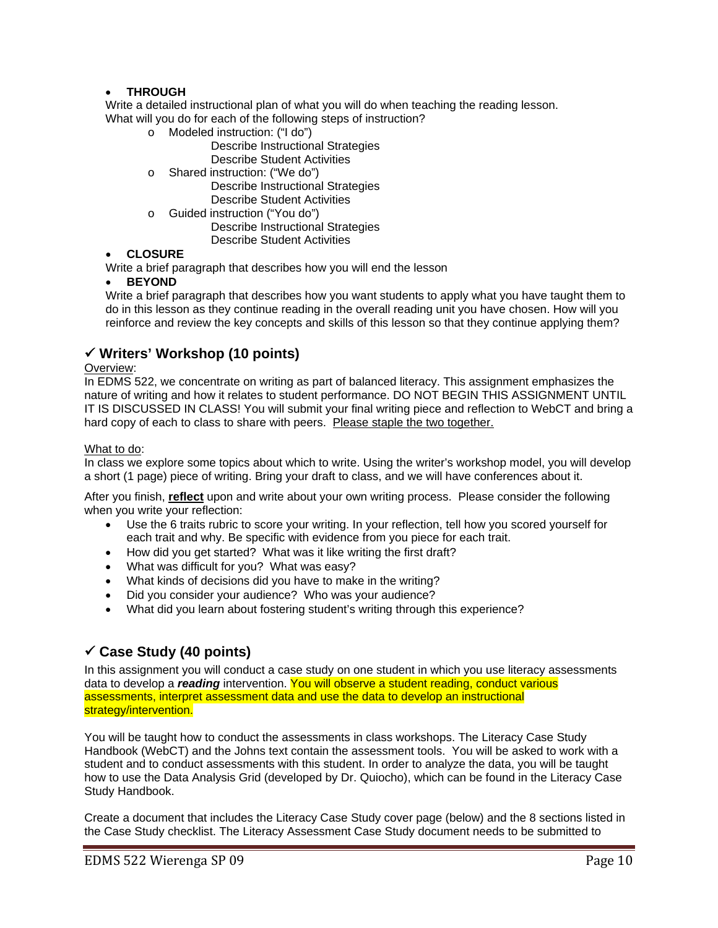### • **THROUGH**

Write a detailed instructional plan of what you will do when teaching the reading lesson. What will you do for each of the following steps of instruction?

- o Modeled instruction: ("I do")
	- Describe Instructional Strategies Describe Student Activities
- o Shared instruction: ("We do") Describe Instructional Strategies Describe Student Activities
- o Guided instruction ("You do") Describe Instructional Strategies Describe Student Activities

### • **CLOSURE**

Write a brief paragraph that describes how you will end the lesson

### **BEYOND**

Write a brief paragraph that describes how you want students to apply what you have taught them to do in this lesson as they continue reading in the overall reading unit you have chosen. How will you reinforce and review the key concepts and skills of this lesson so that they continue applying them?

# 9 **Writers' Workshop (10 points)**

### Overview:

hard copy of each to class to share with peers. Please staple the two together. In EDMS 522, we concentrate on writing as part of balanced literacy. This assignment emphasizes the nature of writing and how it relates to student performance. DO NOT BEGIN THIS ASSIGNMENT UNTIL IT IS DISCUSSED IN CLASS! You will submit your final writing piece and reflection to WebCT and bring a

### What to do:

In class we explore some topics about which to write. Using the writer's workshop model, you will develop a short (1 page) piece of writing. Bring your draft to class, and we will have conferences about it.

After you finish, **reflect** upon and write about your own writing process. Please consider the following when you write your reflection:

- Use the 6 traits rubric to score your writing. In your reflection, tell how you scored yourself for each trait and why. Be specific with evidence from you piece for each trait.
- How did you get started? What was it like writing the first draft?
- What was difficult for you? What was easy?
- What kinds of decisions did you have to make in the writing?
- Did you consider your audience? Who was your audience?
- What did you learn about fostering student's writing through this experience?

# 9 **Case Study (40 points)**

In this assignment you will conduct a case study on one student in which you use literacy assessments data to develop a *reading* intervention. You will observe a student reading, conduct various assessments, interpret assessment data and use the data to develop an instructional strategy/intervention.

You will be taught how to conduct the assessments in class workshops. The Literacy Case Study Handbook (WebCT) and the Johns text contain the assessment tools. You will be asked to work with a student and to conduct assessments with this student. In order to analyze the data, you will be taught how to use the Data Analysis Grid (developed by Dr. Quiocho), which can be found in the Literacy Case Study Handbook.

Create a document that includes the Literacy Case Study cover page (below) and the 8 sections listed in the Case Study checklist. The Literacy Assessment Case Study document needs to be submitted to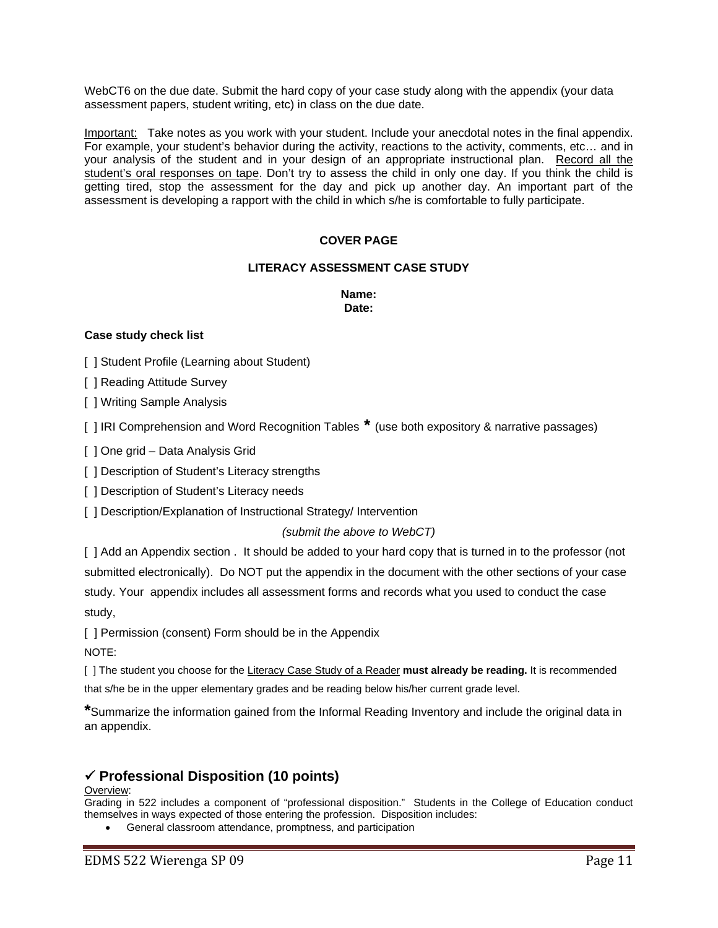WebCT6 on the due date. Submit the hard copy of your case study along with the appendix (your data assessment papers, student writing, etc) in class on the due date.

Important: Take notes as you work with your student. Include your anecdotal notes in the final appendix. For example, your student's behavior during the activity, reactions to the activity, comments, etc… and in your analysis of the student and in your design of an appropriate instructional plan. Record all the student's oral responses on tape. Don't try to assess the child in only one day. If you think the child is getting tired, stop the assessment for the day and pick up another day. An important part of the assessment is developing a rapport with the child in which s/he is comfortable to fully participate.

# **COVER PAGE**

### **LITERACY ASSESSMENT CASE STUDY**

**Name: Date:** 

### **Case study check list**

[ ] Student Profile (Learning about Student)

[ ] Reading Attitude Survey

[ ] Writing Sample Analysis

[ ] IRI Comprehension and Word Recognition Tables **\*** (use both expository & narrative passages)

[ ] One grid – Data Analysis Grid

[ ] Description of Student's Literacy strengths

[] Description of Student's Literacy needs

[ ] Description/Explanation of Instructional Strategy/ Intervention

### *(submit the above to WebCT)*

[ ] Add an Appendix section . It should be added to your hard copy that is turned in to the professor (not submitted electronically). Do NOT put the appendix in the document with the other sections of your case study. Your appendix includes all assessment forms and records what you used to conduct the case study,

[ ] Permission (consent) Form should be in the Appendix

NOTE:

[ ] The student you choose for the Literacy Case Study of a Reader must already be reading. It is recommended that s/he be in the upper elementary grades and be reading below his/her current grade level.

**\***Summarize the information gained from the Informal Reading Inventory and include the original data in an appendix.

# 9 **Professional Disposition (10 points)**

### Overview:

Grading in 522 includes a component of "professional disposition." Students in the College of Education conduct themselves in ways expected of those entering the profession. Disposition includes:

• General classroom attendance, promptness, and participation